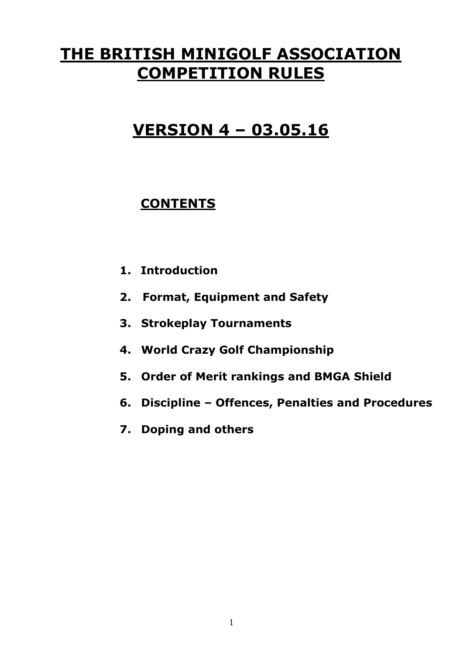# **THE BRITISH MINIGOLF ASSOCIATION COMPETITION RULES**

# **VERSION 4 – 03.05.16**

# **CONTENTS**

- **1. Introduction**
- **2. Format, Equipment and Safety**
- **3. Strokeplay Tournaments**
- **4. World Crazy Golf Championship**
- **5. Order of Merit rankings and BMGA Shield**
- **6. Discipline – Offences, Penalties and Procedures**
- **7. Doping and others**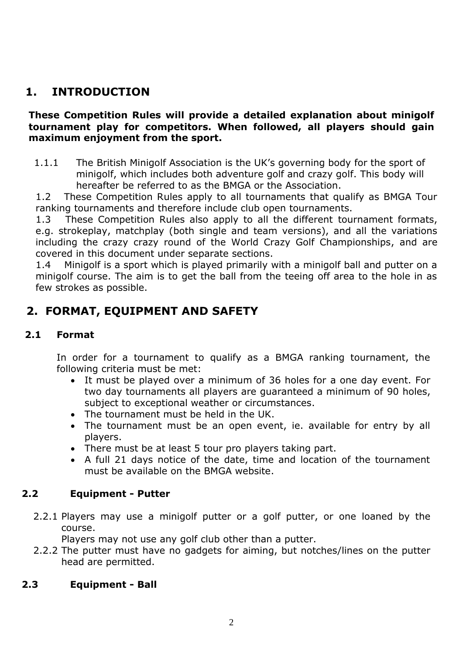# **1. INTRODUCTION**

#### **These Competition Rules will provide a detailed explanation about minigolf tournament play for competitors. When followed, all players should gain maximum enjoyment from the sport.**

1.1.1 The British Minigolf Association is the UK's governing body for the sport of minigolf, which includes both adventure golf and crazy golf. This body will hereafter be referred to as the BMGA or the Association.

1.2 These Competition Rules apply to all tournaments that qualify as BMGA Tour ranking tournaments and therefore include club open tournaments.

1.3 These Competition Rules also apply to all the different tournament formats, e.g. strokeplay, matchplay (both single and team versions), and all the variations including the crazy crazy round of the World Crazy Golf Championships, and are covered in this document under separate sections.

1.4 Minigolf is a sport which is played primarily with a minigolf ball and putter on a minigolf course. The aim is to get the ball from the teeing off area to the hole in as few strokes as possible.

## **2. FORMAT, EQUIPMENT AND SAFETY**

#### **2.1 Format**

In order for a tournament to qualify as a BMGA ranking tournament, the following criteria must be met:

- It must be played over a minimum of 36 holes for a one day event. For two day tournaments all players are guaranteed a minimum of 90 holes, subject to exceptional weather or circumstances.
- The tournament must be held in the UK.
- The tournament must be an open event, ie. available for entry by all players.
- There must be at least 5 tour pro players taking part.
- A full 21 days notice of the date, time and location of the tournament must be available on the BMGA website.

#### **2.2 Equipment - Putter**

2.2.1 Players may use a minigolf putter or a golf putter, or one loaned by the course.

Players may not use any golf club other than a putter.

2.2.2 The putter must have no gadgets for aiming, but notches/lines on the putter head are permitted.

#### **2.3 Equipment - Ball**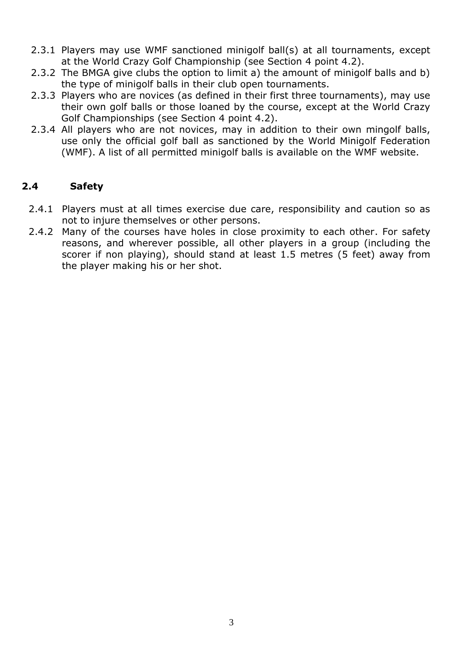- 2.3.1 Players may use WMF sanctioned minigolf ball(s) at all tournaments, except at the World Crazy Golf Championship (see Section 4 point 4.2).
- 2.3.2 The BMGA give clubs the option to limit a) the amount of minigolf balls and b) the type of minigolf balls in their club open tournaments.
- 2.3.3 Players who are novices (as defined in their first three tournaments), may use their own golf balls or those loaned by the course, except at the World Crazy Golf Championships (see Section 4 point 4.2).
- 2.3.4 All players who are not novices, may in addition to their own mingolf balls, use only the official golf ball as sanctioned by the World Minigolf Federation (WMF). A list of all permitted minigolf balls is available on the WMF website.

#### **2.4 Safety**

- 2.4.1 Players must at all times exercise due care, responsibility and caution so as not to injure themselves or other persons.
- 2.4.2 Many of the courses have holes in close proximity to each other. For safety reasons, and wherever possible, all other players in a group (including the scorer if non playing), should stand at least 1.5 metres (5 feet) away from the player making his or her shot.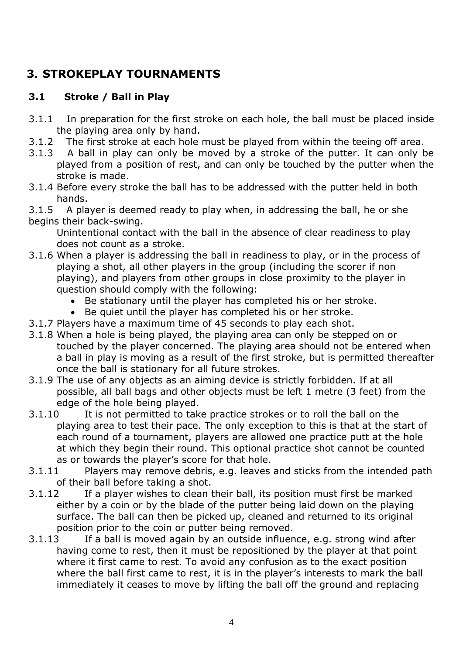# **3. STROKEPLAY TOURNAMENTS**

## **3.1 Stroke / Ball in Play**

- 3.1.1 In preparation for the first stroke on each hole, the ball must be placed inside the playing area only by hand.
- 3.1.2 The first stroke at each hole must be played from within the teeing off area.
- 3.1.3 A ball in play can only be moved by a stroke of the putter. It can only be played from a position of rest, and can only be touched by the putter when the stroke is made.
- 3.1.4 Before every stroke the ball has to be addressed with the putter held in both hands.

3.1.5 A player is deemed ready to play when, in addressing the ball, he or she begins their back-swing.

Unintentional contact with the ball in the absence of clear readiness to play does not count as a stroke.

- 3.1.6 When a player is addressing the ball in readiness to play, or in the process of playing a shot, all other players in the group (including the scorer if non playing), and players from other groups in close proximity to the player in question should comply with the following:
	- Be stationary until the player has completed his or her stroke.
	- Be quiet until the player has completed his or her stroke.
- 3.1.7 Players have a maximum time of 45 seconds to play each shot.
- 3.1.8 When a hole is being played, the playing area can only be stepped on or touched by the player concerned. The playing area should not be entered when a ball in play is moving as a result of the first stroke, but is permitted thereafter once the ball is stationary for all future strokes.
- 3.1.9 The use of any objects as an aiming device is strictly forbidden. If at all possible, all ball bags and other objects must be left 1 metre (3 feet) from the edge of the hole being played.
- 3.1.10 It is not permitted to take practice strokes or to roll the ball on the playing area to test their pace. The only exception to this is that at the start of each round of a tournament, players are allowed one practice putt at the hole at which they begin their round. This optional practice shot cannot be counted as or towards the player's score for that hole.
- 3.1.11 Players may remove debris, e.g. leaves and sticks from the intended path of their ball before taking a shot.
- 3.1.12 If a player wishes to clean their ball, its position must first be marked either by a coin or by the blade of the putter being laid down on the playing surface. The ball can then be picked up, cleaned and returned to its original position prior to the coin or putter being removed.
- 3.1.13 If a ball is moved again by an outside influence, e.g. strong wind after having come to rest, then it must be repositioned by the player at that point where it first came to rest. To avoid any confusion as to the exact position where the ball first came to rest, it is in the player's interests to mark the ball immediately it ceases to move by lifting the ball off the ground and replacing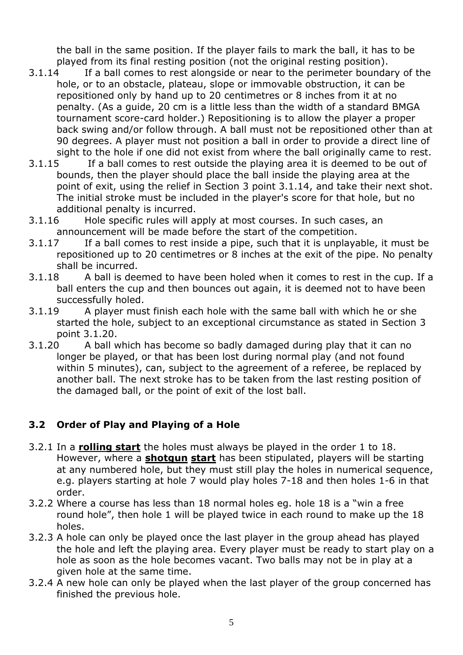the ball in the same position. If the player fails to mark the ball, it has to be played from its final resting position (not the original resting position).

- 3.1.14 If a ball comes to rest alongside or near to the perimeter boundary of the hole, or to an obstacle, plateau, slope or immovable obstruction, it can be repositioned only by hand up to 20 centimetres or 8 inches from it at no penalty. (As a guide, 20 cm is a little less than the width of a standard BMGA tournament score-card holder.) Repositioning is to allow the player a proper back swing and/or follow through. A ball must not be repositioned other than at 90 degrees. A player must not position a ball in order to provide a direct line of sight to the hole if one did not exist from where the ball originally came to rest.
- 3.1.15 If a ball comes to rest outside the playing area it is deemed to be out of bounds, then the player should place the ball inside the playing area at the point of exit, using the relief in Section 3 point 3.1.14, and take their next shot. The initial stroke must be included in the player's score for that hole, but no additional penalty is incurred.
- 3.1.16 Hole specific rules will apply at most courses. In such cases, an announcement will be made before the start of the competition.
- 3.1.17 If a ball comes to rest inside a pipe, such that it is unplayable, it must be repositioned up to 20 centimetres or 8 inches at the exit of the pipe. No penalty shall be incurred.
- 3.1.18 A ball is deemed to have been holed when it comes to rest in the cup. If a ball enters the cup and then bounces out again, it is deemed not to have been successfully holed.
- 3.1.19 A player must finish each hole with the same ball with which he or she started the hole, subject to an exceptional circumstance as stated in Section 3 point 3.1.20.
- 3.1.20 A ball which has become so badly damaged during play that it can no longer be played, or that has been lost during normal play (and not found within 5 minutes), can, subject to the agreement of a referee, be replaced by another ball. The next stroke has to be taken from the last resting position of the damaged ball, or the point of exit of the lost ball.

## **3.2 Order of Play and Playing of a Hole**

- 3.2.1 In a **rolling start** the holes must always be played in the order 1 to 18. However, where a **shotgun start** has been stipulated, players will be starting at any numbered hole, but they must still play the holes in numerical sequence, e.g. players starting at hole 7 would play holes 7-18 and then holes 1-6 in that order.
- 3.2.2 Where a course has less than 18 normal holes eg. hole 18 is a "win a free round hole", then hole 1 will be played twice in each round to make up the 18 holes.
- 3.2.3 A hole can only be played once the last player in the group ahead has played the hole and left the playing area. Every player must be ready to start play on a hole as soon as the hole becomes vacant. Two balls may not be in play at a given hole at the same time.
- 3.2.4 A new hole can only be played when the last player of the group concerned has finished the previous hole.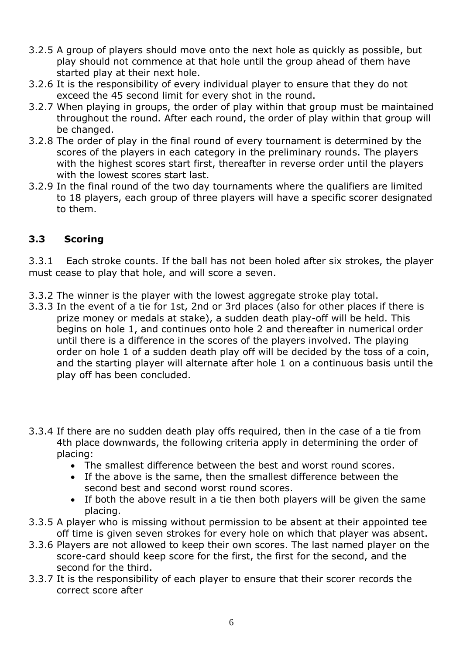- 3.2.5 A group of players should move onto the next hole as quickly as possible, but play should not commence at that hole until the group ahead of them have started play at their next hole.
- 3.2.6 It is the responsibility of every individual player to ensure that they do not exceed the 45 second limit for every shot in the round.
- 3.2.7 When playing in groups, the order of play within that group must be maintained throughout the round. After each round, the order of play within that group will be changed.
- 3.2.8 The order of play in the final round of every tournament is determined by the scores of the players in each category in the preliminary rounds. The players with the highest scores start first, thereafter in reverse order until the players with the lowest scores start last.
- 3.2.9 In the final round of the two day tournaments where the qualifiers are limited to 18 players, each group of three players will have a specific scorer designated to them.

## **3.3 Scoring**

3.3.1 Each stroke counts. If the ball has not been holed after six strokes, the player must cease to play that hole, and will score a seven.

- 3.3.2 The winner is the player with the lowest aggregate stroke play total.
- 3.3.3 In the event of a tie for 1st, 2nd or 3rd places (also for other places if there is prize money or medals at stake), a sudden death play-off will be held. This begins on hole 1, and continues onto hole 2 and thereafter in numerical order until there is a difference in the scores of the players involved. The playing order on hole 1 of a sudden death play off will be decided by the toss of a coin, and the starting player will alternate after hole 1 on a continuous basis until the play off has been concluded.
- 3.3.4 If there are no sudden death play offs required, then in the case of a tie from 4th place downwards, the following criteria apply in determining the order of placing:
	- The smallest difference between the best and worst round scores.
	- If the above is the same, then the smallest difference between the second best and second worst round scores.
	- If both the above result in a tie then both players will be given the same placing.
- 3.3.5 A player who is missing without permission to be absent at their appointed tee off time is given seven strokes for every hole on which that player was absent.
- 3.3.6 Players are not allowed to keep their own scores. The last named player on the score-card should keep score for the first, the first for the second, and the second for the third.
- 3.3.7 It is the responsibility of each player to ensure that their scorer records the correct score after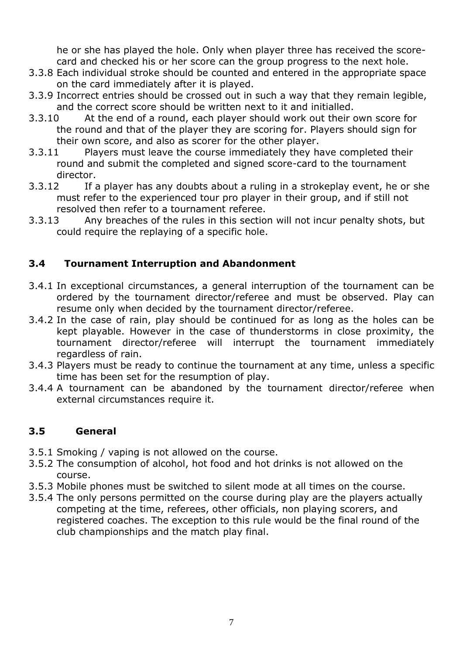he or she has played the hole. Only when player three has received the scorecard and checked his or her score can the group progress to the next hole.

- 3.3.8 Each individual stroke should be counted and entered in the appropriate space on the card immediately after it is played.
- 3.3.9 Incorrect entries should be crossed out in such a way that they remain legible, and the correct score should be written next to it and initialled.
- 3.3.10 At the end of a round, each player should work out their own score for the round and that of the player they are scoring for. Players should sign for their own score, and also as scorer for the other player.
- 3.3.11 Players must leave the course immediately they have completed their round and submit the completed and signed score-card to the tournament director.
- 3.3.12 If a player has any doubts about a ruling in a strokeplay event, he or she must refer to the experienced tour pro player in their group, and if still not resolved then refer to a tournament referee.
- 3.3.13 Any breaches of the rules in this section will not incur penalty shots, but could require the replaying of a specific hole.

#### **3.4 Tournament Interruption and Abandonment**

- 3.4.1 In exceptional circumstances, a general interruption of the tournament can be ordered by the tournament director/referee and must be observed. Play can resume only when decided by the tournament director/referee.
- 3.4.2 In the case of rain, play should be continued for as long as the holes can be kept playable. However in the case of thunderstorms in close proximity, the tournament director/referee will interrupt the tournament immediately regardless of rain.
- 3.4.3 Players must be ready to continue the tournament at any time, unless a specific time has been set for the resumption of play.
- 3.4.4 A tournament can be abandoned by the tournament director/referee when external circumstances require it.

#### **3.5 General**

- 3.5.1 Smoking / vaping is not allowed on the course.
- 3.5.2 The consumption of alcohol, hot food and hot drinks is not allowed on the course.
- 3.5.3 Mobile phones must be switched to silent mode at all times on the course.
- 3.5.4 The only persons permitted on the course during play are the players actually competing at the time, referees, other officials, non playing scorers, and registered coaches. The exception to this rule would be the final round of the club championships and the match play final.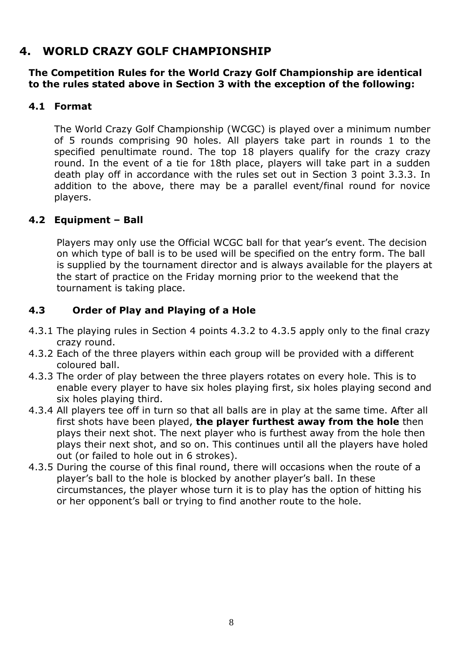## **4. WORLD CRAZY GOLF CHAMPIONSHIP**

#### **The Competition Rules for the World Crazy Golf Championship are identical to the rules stated above in Section 3 with the exception of the following:**

#### **4.1 Format**

The World Crazy Golf Championship (WCGC) is played over a minimum number of 5 rounds comprising 90 holes. All players take part in rounds 1 to the specified penultimate round. The top 18 players qualify for the crazy crazy round. In the event of a tie for 18th place, players will take part in a sudden death play off in accordance with the rules set out in Section 3 point 3.3.3. In addition to the above, there may be a parallel event/final round for novice players.

#### **4.2 Equipment – Ball**

Players may only use the Official WCGC ball for that year's event. The decision on which type of ball is to be used will be specified on the entry form. The ball is supplied by the tournament director and is always available for the players at the start of practice on the Friday morning prior to the weekend that the tournament is taking place.

## **4.3 Order of Play and Playing of a Hole**

- 4.3.1 The playing rules in Section 4 points 4.3.2 to 4.3.5 apply only to the final crazy crazy round.
- 4.3.2 Each of the three players within each group will be provided with a different coloured ball.
- 4.3.3 The order of play between the three players rotates on every hole. This is to enable every player to have six holes playing first, six holes playing second and six holes playing third.
- 4.3.4 All players tee off in turn so that all balls are in play at the same time. After all first shots have been played, **the player furthest away from the hole** then plays their next shot. The next player who is furthest away from the hole then plays their next shot, and so on. This continues until all the players have holed out (or failed to hole out in 6 strokes).
- 4.3.5 During the course of this final round, there will occasions when the route of a player's ball to the hole is blocked by another player's ball. In these circumstances, the player whose turn it is to play has the option of hitting his or her opponent's ball or trying to find another route to the hole.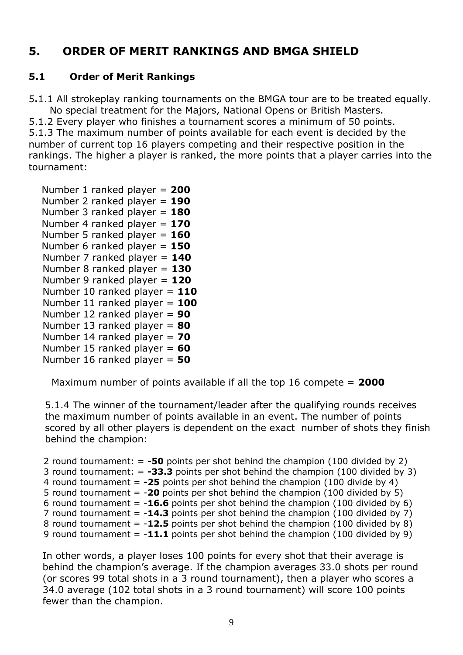# **5. ORDER OF MERIT RANKINGS AND BMGA SHIELD**

### **5.1 Order of Merit Rankings**

5**.**1.1 All strokeplay ranking tournaments on the BMGA tour are to be treated equally. No special treatment for the Majors, National Opens or British Masters. 5.1.2 Every player who finishes a tournament scores a minimum of 50 points. 5.1.3 The maximum number of points available for each event is decided by the number of current top 16 players competing and their respective position in the rankings. The higher a player is ranked, the more points that a player carries into the tournament:

```
 Number 1 ranked player = 200
 Number 2 ranked player = 190
 Number 3 ranked player = 180
 Number 4 ranked player = 170
 Number 5 ranked player = 160
 Number 6 ranked player = 150
Number 7 ranked player = 140
Number 8 ranked player = 130
Number 9 ranked player = 120
Number 10 ranked player = 110
Number 11 ranked player = 100
Number 12 ranked player = 90
Number 13 ranked player = 80
Number 14 ranked player = 70
Number 15 ranked player = 60
Number 16 ranked player = 50
```
Maximum number of points available if all the top 16 compete = **2000**

5.1.4 The winner of the tournament/leader after the qualifying rounds receives the maximum number of points available in an event. The number of points scored by all other players is dependent on the exact number of shots they finish behind the champion:

 2 round tournament: = **-50** points per shot behind the champion (100 divided by 2) 3 round tournament: = **-33.3** points per shot behind the champion (100 divided by 3) 4 round tournament = **-25** points per shot behind the champion (100 divide by 4) 5 round tournament = -**20** points per shot behind the champion (100 divided by 5) 6 round tournament = -**16.6** points per shot behind the champion (100 divided by 6) 7 round tournament = -**14.3** points per shot behind the champion (100 divided by 7) 8 round tournament = -**12.5** points per shot behind the champion (100 divided by 8) 9 round tournament = -**11.1** points per shot behind the champion (100 divided by 9)

In other words, a player loses 100 points for every shot that their average is behind the champion's average. If the champion averages 33.0 shots per round (or scores 99 total shots in a 3 round tournament), then a player who scores a 34.0 average (102 total shots in a 3 round tournament) will score 100 points fewer than the champion.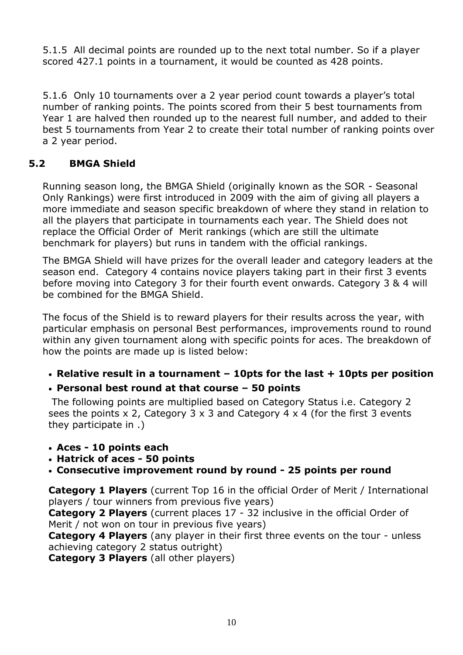5.1.5 All decimal points are rounded up to the next total number. So if a player scored 427.1 points in a tournament, it would be counted as 428 points.

5.1.6 Only 10 tournaments over a 2 year period count towards a player's total number of ranking points. The points scored from their 5 best tournaments from Year 1 are halved then rounded up to the nearest full number, and added to their best 5 tournaments from Year 2 to create their total number of ranking points over a 2 year period.

## **5.2 BMGA Shield**

Running season long, the BMGA Shield (originally known as the SOR - Seasonal Only Rankings) were first introduced in 2009 with the aim of giving all players a more immediate and season specific breakdown of where they stand in relation to all the players that participate in tournaments each year. The Shield does not replace the Official Order of Merit rankings (which are still the ultimate benchmark for players) but runs in tandem with the official rankings.

The BMGA Shield will have prizes for the overall leader and category leaders at the season end. Category 4 contains novice players taking part in their first 3 events before moving into Category 3 for their fourth event onwards. Category 3 & 4 will be combined for the BMGA Shield.

The focus of the Shield is to reward players for their results across the year, with particular emphasis on personal Best performances, improvements round to round within any given tournament along with specific points for aces. The breakdown of how the points are made up is listed below:

#### • **Relative result in a tournament – 10pts for the last + 10pts per position**

#### • **Personal best round at that course – 50 points**

The following points are multiplied based on Category Status i.e. Category 2 sees the points x 2, Category 3 x 3 and Category 4 x 4 (for the first 3 events they participate in .)

- **Aces - 10 points each**
- **Hatrick of aces - 50 points**
- **Consecutive improvement round by round - 25 points per round**

**Category 1 Players** (current Top 16 in the official Order of Merit / International players / tour winners from previous five years)

**Category 2 Players** (current places 17 - 32 inclusive in the official Order of Merit / not won on tour in previous five years)

**Category 4 Players** (any player in their first three events on the tour - unless achieving category 2 status outright)

**Category 3 Players** (all other players)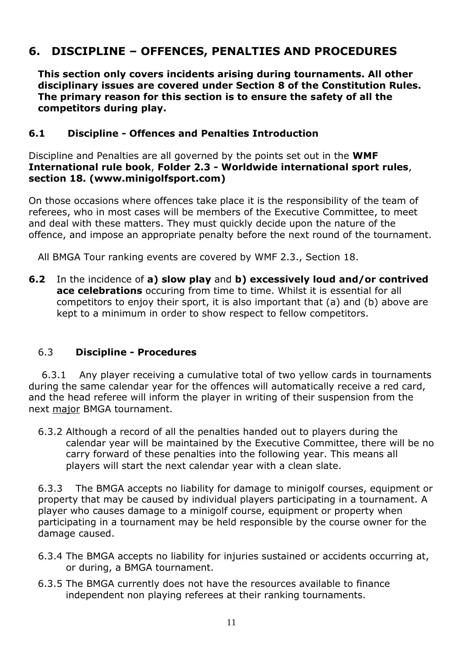# **6. DISCIPLINE – OFFENCES, PENALTIES AND PROCEDURES**

**This section only covers incidents arising during tournaments. All other disciplinary issues are covered under Section 8 of the Constitution Rules. The primary reason for this section is to ensure the safety of all the competitors during play.**

#### **6.1 Discipline - Offences and Penalties Introduction**

Discipline and Penalties are all governed by the points set out in the **WMF International rule book**, **Folder 2.3 - Worldwide international sport rules**, **section 18. (www.minigolfsport.com)**

On those occasions where offences take place it is the responsibility of the team of referees, who in most cases will be members of the Executive Committee, to meet and deal with these matters. They must quickly decide upon the nature of the offence, and impose an appropriate penalty before the next round of the tournament.

All BMGA Tour ranking events are covered by WMF 2.3., Section 18.

**6.2** In the incidence of **a) slow play** and **b) excessively loud and/or contrived ace celebrations** occuring from time to time. Whilst it is essential for all competitors to enjoy their sport, it is also important that (a) and (b) above are kept to a minimum in order to show respect to fellow competitors.

#### 6.3 **Discipline - Procedures**

 6.3.1 Any player receiving a cumulative total of two yellow cards in tournaments during the same calendar year for the offences will automatically receive a red card, and the head referee will inform the player in writing of their suspension from the next major BMGA tournament.

6.3.2 Although a record of all the penalties handed out to players during the calendar year will be maintained by the Executive Committee, there will be no carry forward of these penalties into the following year. This means all players will start the next calendar year with a clean slate.

6.3.3 The BMGA accepts no liability for damage to minigolf courses, equipment or property that may be caused by individual players participating in a tournament. A player who causes damage to a minigolf course, equipment or property when participating in a tournament may be held responsible by the course owner for the damage caused.

- 6.3.4 The BMGA accepts no liability for injuries sustained or accidents occurring at, or during, a BMGA tournament.
- 6.3.5 The BMGA currently does not have the resources available to finance independent non playing referees at their ranking tournaments.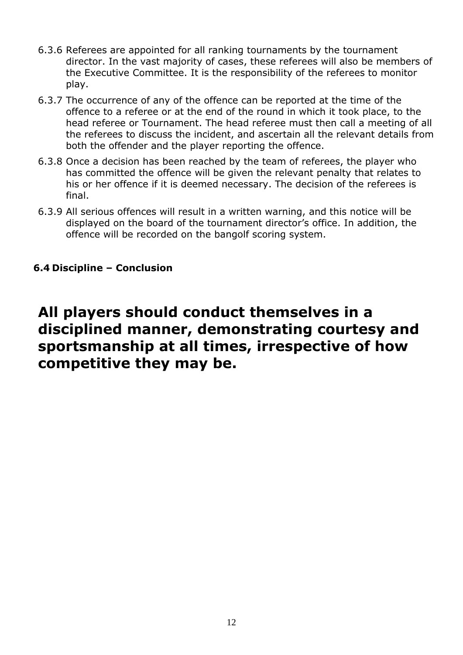- 6.3.6 Referees are appointed for all ranking tournaments by the tournament director. In the vast majority of cases, these referees will also be members of the Executive Committee. It is the responsibility of the referees to monitor play.
- 6.3.7 The occurrence of any of the offence can be reported at the time of the offence to a referee or at the end of the round in which it took place, to the head referee or Tournament. The head referee must then call a meeting of all the referees to discuss the incident, and ascertain all the relevant details from both the offender and the player reporting the offence.
- 6.3.8 Once a decision has been reached by the team of referees, the player who has committed the offence will be given the relevant penalty that relates to his or her offence if it is deemed necessary. The decision of the referees is final.
- 6.3.9 All serious offences will result in a written warning, and this notice will be displayed on the board of the tournament director's office. In addition, the offence will be recorded on the bangolf scoring system.

#### **6.4 Discipline – Conclusion**

# **All players should conduct themselves in a disciplined manner, demonstrating courtesy and sportsmanship at all times, irrespective of how competitive they may be.**